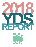

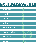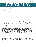## PAGE 1 INTRODUCTION

This report summarizes findings from the New York State PFS Youth Development Survey administered by Cortland Area Communities that Care Coalition during the 2018-2019 school year. The survey instrument was designed to assess risk and protective factors that predict substance use and other problem behaviors such as bullying and delinquency. The Youth Development Survey is especially valuable because it provides information on risk and protective factors for school districts and other agencies to use in planning effective programs, strategies, and policies.

The PFS Youth Survey was administered to 1,349 students in grades 7-12 in partnership with the Cortland, Marathon, McGraw and Cincinnatus School Districts.

The survey data is used to guide the planning process for CACTC and its partners. CACTC and our partners use countywide data for its planning process; however, each individual school that participates in the survey also receives school level data that is used for their planning purposes.

CACTC has administered a countywide youth survey since 2002. This yearly survey has allowed us to identify problem areas to address and track our progress. For example, we know that there has been a significant reduction in 30-day alcohol use since the survey was first administered in 2002.

The mission of CACTC is to engage the community to promote a healthy culture for positive youth development.

Evaluation and reporting of the youth survey is conducted by PRIDE Surveys. Following receipt of the surveys, all survey forms were checked to determine the validity and reliability of the data. A small percentage of students were judged to have returned invalid survey data. For example, students who claimed to use all drugs at the highest levels of use were eliminated from the final data set. In total, five separate checks of the logical consistency and validity of the students' responses were conducted.

This report was developed, in part, under grant number 1U79SP020707-01 (New York SPF-PFS Project) from the Substance Abuse and Mental Health Services Administration, U.S.Department of Health and Human Services.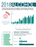

Past 30-Day Use refers to the question "*During the past 30 days, on how many occasions have you had beer, wine, or hard liquor to drink*."



Change represents year-to-year change tracking the same groups of students. For example, tracking last years 7th graders to 8th grade this year.

### PAST 30-DAY USE 2007-2018 PROGRESS



## BINGE DRINKING

Having five or more drinks in a row one or more times within the past two weeks.

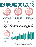The question: *"How much do you think people risk harming themselves physically or in other ways when they have five or more drinks of an alcohol beverage once or twice a week?"*

#### PERCEPTION OF RISK PARENTAL DISAPPROVAL FRIENDS DISAPPROVAL

71.2% 82.4%

**COHOL20** 

The question: *"How wrong do your parents feel it would be for you to have one or two drinks of an alcoholic beverage nearly every day?"*

PAGE 3

The question: *"How wrong do your friends feel it would be for you to have one or two drinks of an alcoholic beverage nearly every day?"*

Lifetime Use refers to the question "*In your lifetime, on how many occasions (if any) have you had beer, wine, or hard liquor to drink*?" Percentages of students indicating they have had beer, wine or hard liquor to drink on one or more occasions in their lifetime.



For example, tracking last years 7th graders to 8th grade this year.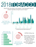# 2018 ILOBACCO PAGE 4

 Past 30-Day Use refers to the question "*How frequently have you smoked cigarettes during the past 30 days?*"



Change represents year-to-year change tracking the same groups of students. For example, tracking last years 7th graders to 8th grade this year.

#### PAST 30-DAY USE 2007-2018 PROGRESS





PAST 30-DAY USE Countywide average for grades 7-12

## VAPING 30-Day Use

Past 30-Day Use refers to the question "*During the past 30 days, on how many occasions did you use an electronic vaping device or e-cigarettes?*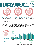OBAC.CO20 79.1% 88.2%

The question: *"How much do you think people risk harming themselves physically or in other ways if they smoke one or more packs of cigarettes per day?"*

#### PERCEPTION OF RISK PARENTAL DISAPPROVAL FRIENDS DISAPPROVAL

The question: *"How wrong do your parents feel it would be for you to smoke tobacco?"*

PAGE 5

The question: *"How wrong do your friends feel it would be for you to smoke tobacco?"*

Lifetime Use refers to the question "*Have you ever smoked cigarettes?*" Percentages of students indicating they have ever smoked cigarettes on one or more occasions in their lifetime.



For example, tracking last years 7th graders to 8th grade this year.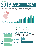# 2018MARIJUANA PAGE 6

Past 30-Day Use refers to the question "*During the past 30 days, on how many occasions have you used marijuana (grass, pot, weed) or used hash oil or dabs?*"



Change represents year-to-year change tracking the same groups of students. For example, tracking last years 7th graders to 8th grade this year.

#### PAST 30-DAY USE 2007-2018 PROGRESS



## DRUGGED DRIVING

Percentage of students who reported driving a car or other vehicle in the past 30 days under the influence of marijuana or other drugs.

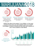## MARIJUANA201 PAGE



The question: *"How much do you think people risk harming themselves physically or in other ways if they try marijuana once or twice a week?"*



PERCEPTION OF RISK PARENTAL DISAPPROVAL FRIENDS DISAPPROVAL

The question: *"How wrong do your parents feel it would be for you to smoke marijuana?"*

The question: *"How wrong do your friends feel it would be for you to smoke marijuana?"*

Lifetime Use refers to the question "*In your lifetime, on how many occasions (if any) have you used marijuana (grass, pot, weed)*?" Percentages of students indicating that they have used marijuana on one or more occasions in their lifetime.



Change represents year-to-year change tracking the same groups of students. For example, tracking last years 7th graders to 8th grade this year.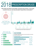## **2 PRESCRIPTION DRUGS** PAGE 8

Past 30-Day Use refers to the question "*During the past 30 days, on how many occasions have you used any prescription drugs without a prescription*?"



Change represents year-to-year change tracking the same groups of students. For example, tracking last years 7th graders to 8th grade this year.



## CESS

Percentage of students who reported how they got prescription pain relievers that weren't prescribed to them.

| Found them at home                                 | $137.5\%$ |
|----------------------------------------------------|-----------|
| From friend or a relative for free                 | 29.2%     |
| Bought them from a friend or relative              | 12.5%     |
| From a doctor, but I didn't follow doctor's orders | 4.2%      |
| From a drug dealer or other stranger               | 16.7%     |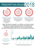# PRESCRIPTION DRUGS 2018



The question: *"How much do you think people risk harming themselves physically or in other ways when they use any prescription drug without a prescription?"*



#### PERCEPTION OF RISK PARENTAL DISAPPROVAL FRIENDS DISAPPROVAL

The question: *"How wrong do your parents feel it would be for you to use prescription drugs without a prescription?"*

The question: *"How wrong do your friends feel it would be for you to use any prescription drug without a* 

PAGE 9

*prescription?"*

Lifetime Use refers to the question "*In your lifetime, on how many occasions (if any) have you used prescription pain relievers not prescribed to you?"*  Percentages of students indicating they have ever used prescription pain relievers not prescribed to them on one or more occasions in their lifetime.

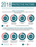

Protective factors exert a positive influence or buffer against the negative influence of risk, thus reducing the likelihood that adolescents will engage in problem behaviors.

### **FAMILY ATTACHMENT**

*Young people who feel that they are a valued part of their family are less likely to engage in substance use and other problem behaviors.*



## **FAMILY REWARDS FOR PRO-SOCIAL INVOLVEMENT**

*When parents, siblings, and other family members praise, encourage, and attend to things done well by their child, children are less likely to engage in substance use and problem behaviors.*

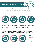## **2018 PAGE 11** PROTECTIVE FACTORS

Protective factors exert a positive influence or buffer against the negative influence of risk, thus reducing the likelihood that adolescents will engage in problem behaviors.

#### SCHOOL OPPORTUNITIES FOR PRO-SOCIAL INVOLVEMENT

*When young people are given more opportunities to participate meaningfully in important activities at school, they are less likely to engage in drug use and other problem behaviors.*



In my school, students have lots of chances to help decide things like class activities and rules.

There are lots of chances for students in my school to talk with a teacher one-on-one.



There are lots of chances for students in my school to get involved in sports and clubs.



I have lots of chances to be part of class discussions or activities.



*The more students answering "yes" the better.* 

#### SCHOOL REWARDS FOR PRO-SOCIAL INVOLVEMENT

*When young people are recognized and rewarded for their contributions at school, they are less likely to be involved in substance use and other problem behaviors.*

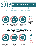## **2018** PAGE 12 PROTECTIVE FACTORS

Protective factors exert a positive influence or buffer against the negative influence of risk, thus reducing the likelihood that adolescents will engage in problem behaviors.

#### FAMILY OPPORTUNITIES FOR PRO-SOCIAL INVOLVEMENT

*Young people who are exposed to more opportunities to participate meaningfully in the responsibilities and activities of the family are less likely to engage in drug use and other problem behaviors.*



#### OPPORTUNITIES FOR PRO-SOCIAL INVOLVEMENT *Participation in positive school and community activities helps provide protection for youth.*

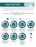## RISK FACTORS

Risk factors include characteristics of school, community, and family environments, as well as characteristics of students and their peer groups that are known to predict increased likelihood of drug use, delinquency, and violent behaviors among youth.

 $201$ 

PAGE 13

#### LOW COMMITMENT TO SCHOOL

*Factors such as liking school, spending time on homework, and perceiving the coursework as relevant are also negatively related to drug use.*

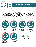

## RISK FACTORS

Risk factors include characteristics of school, community, and family environments, as well as characteristics of students and their peer groups that are known to predict increased likelihood of drug use, delinquency, and violent behaviors among youth.

#### POOR FAMILY MANAGEMENT

*Parents' use of inconsistent and/or unusually harsh or severe punishment with their children places them at higher risk for substance use and other problem behaviors. Also, parents' failure to provide clear expectations*  and to monitor their children's behavior makes it more likely that they will engage in drug abuse whether or not *there are family drug problems.*

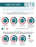## RISK FACTORS<br>Risk factors include characteristics of school, community, and family environments, as RISK FACTORS

well as characteristics of students and their peer groups that are known to predict increased likelihood of drug use, delinquency, and violent behaviors among youth.

PAGE 15

#### DEPRESSIVE SYMPTOMS

*Young people who express feelings of sadness for long periods over the past year and who have negative attitudes about themselves and life in general are more likely to use drugs.*



#### FAMILY CONFLICT

*Children raised in families high in conflict, whether or not the child is directly involved in the conflict, are at risk for both delinquency and drug use.*

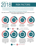## RISK FACTORS

Risk factors include characteristics of school, community, and family environments, as well as characteristics of students and their peer groups that are known to predict increased likelihood of drug use, delinquency, and violent behaviors among youth.

2018

PAGE 16

#### FAMILY HISTORY OF ANTISOCIAL BEHAVIOR

*When children are raised in a family with a history of problem behaviors (e.g., violence or ATOD use), the children are more likely to engage in these behaviors.*

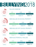# BULLYING 2018 PAGE 17

BULLIED SOMEONE